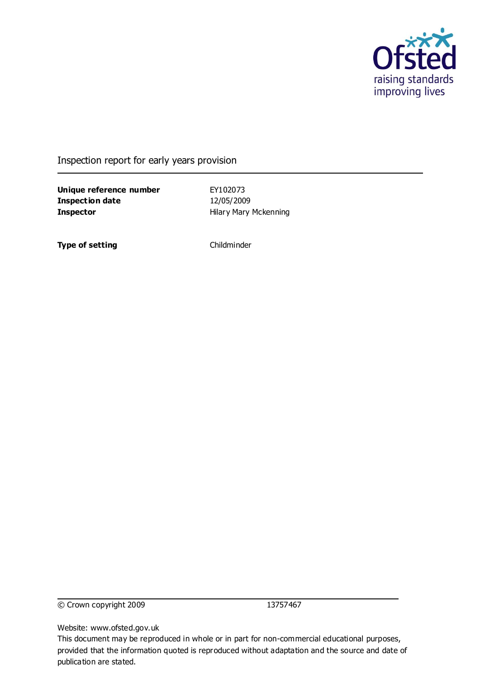

Inspection report for early years provision

**Unique reference number** EY102073 **Inspection date** 12/05/2009 **Inspector Hilary Mary Mckenning** 

**Type of setting** Childminder

© Crown copyright 2009 13757467

Website: www.ofsted.gov.uk

This document may be reproduced in whole or in part for non-commercial educational purposes, provided that the information quoted is reproduced without adaptation and the source and date of publication are stated.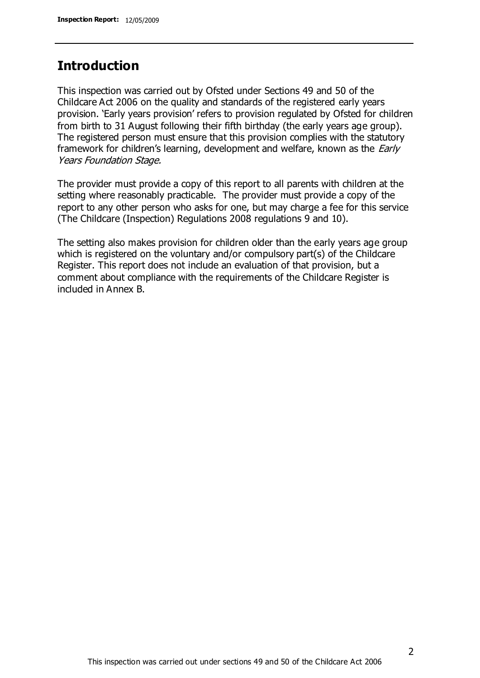### **Introduction**

This inspection was carried out by Ofsted under Sections 49 and 50 of the Childcare Act 2006 on the quality and standards of the registered early years provision. 'Early years provision' refers to provision regulated by Ofsted for children from birth to 31 August following their fifth birthday (the early years age group). The registered person must ensure that this provision complies with the statutory framework for children's learning, development and welfare, known as the *Early* Years Foundation Stage.

The provider must provide a copy of this report to all parents with children at the setting where reasonably practicable. The provider must provide a copy of the report to any other person who asks for one, but may charge a fee for this service (The Childcare (Inspection) Regulations 2008 regulations 9 and 10).

The setting also makes provision for children older than the early years age group which is registered on the voluntary and/or compulsory part(s) of the Childcare Register. This report does not include an evaluation of that provision, but a comment about compliance with the requirements of the Childcare Register is included in Annex B.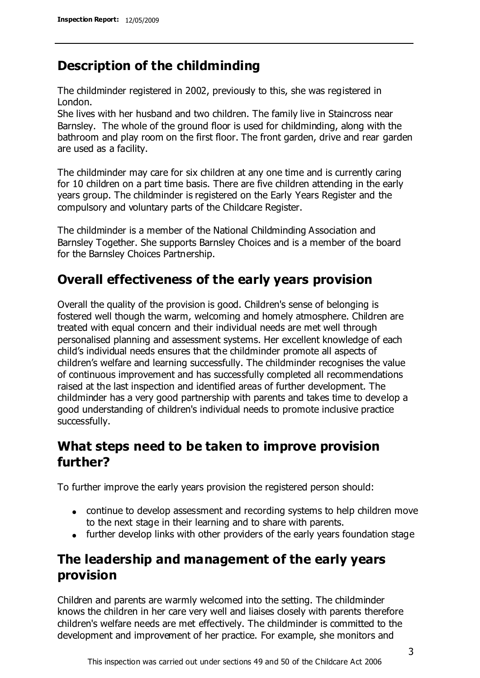### **Description of the childminding**

The childminder registered in 2002, previously to this, she was registered in London.

She lives with her husband and two children. The family live in Staincross near Barnsley. The whole of the ground floor is used for childminding, along with the bathroom and play room on the first floor. The front garden, drive and rear garden are used as a facility.

The childminder may care for six children at any one time and is currently caring for 10 children on a part time basis. There are five children attending in the early years group. The childminder is registered on the Early Years Register and the compulsory and voluntary parts of the Childcare Register.

The childminder is a member of the National Childminding Association and Barnsley Together. She supports Barnsley Choices and is a member of the board for the Barnsley Choices Partnership.

# **Overall effectiveness of the early years provision**

Overall the quality of the provision is good. Children's sense of belonging is fostered well though the warm, welcoming and homely atmosphere. Children are treated with equal concern and their individual needs are met well through personalised planning and assessment systems. Her excellent knowledge of each child's individual needs ensures that the childminder promote all aspects of children's welfare and learning successfully. The childminder recognises the value of continuous improvement and has successfully completed all recommendations raised at the last inspection and identified areas of further development. The childminder has a very good partnership with parents and takes time to develop a good understanding of children's individual needs to promote inclusive practice successfully.

# **What steps need to be taken to improve provision further?**

To further improve the early years provision the registered person should:

- continue to develop assessment and recording systems to help children move to the next stage in their learning and to share with parents.
- further develop links with other providers of the early years foundation stage

# **The leadership and management of the early years provision**

Children and parents are warmly welcomed into the setting. The childminder knows the children in her care very well and liaises closely with parents therefore children's welfare needs are met effectively. The childminder is committed to the development and improvement of her practice. For example, she monitors and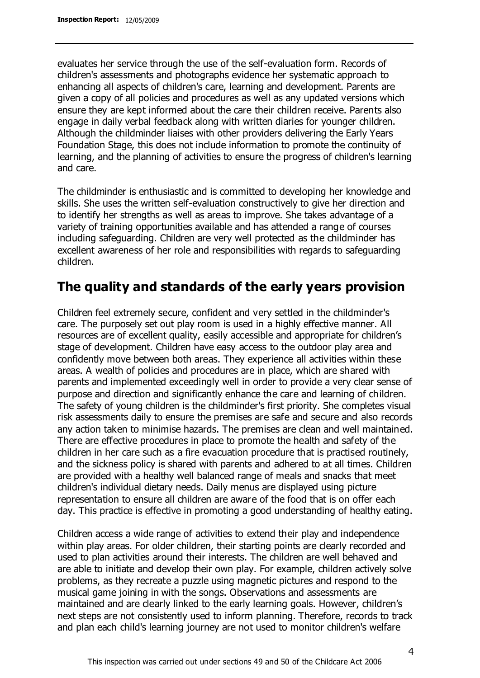evaluates her service through the use of the self-evaluation form. Records of children's assessments and photographs evidence her systematic approach to enhancing all aspects of children's care, learning and development. Parents are given a copy of all policies and procedures as well as any updated versions which ensure they are kept informed about the care their children receive. Parents also engage in daily verbal feedback along with written diaries for younger children. Although the childminder liaises with other providers delivering the Early Years Foundation Stage, this does not include information to promote the continuity of learning, and the planning of activities to ensure the progress of children's learning and care.

The childminder is enthusiastic and is committed to developing her knowledge and skills. She uses the written self-evaluation constructively to give her direction and to identify her strengths as well as areas to improve. She takes advantage of a variety of training opportunities available and has attended a range of courses including safeguarding. Children are very well protected as the childminder has excellent awareness of her role and responsibilities with regards to safeguarding children.

### **The quality and standards of the early years provision**

Children feel extremely secure, confident and very settled in the childminder's care. The purposely set out play room is used in a highly effective manner. All resources are of excellent quality, easily accessible and appropriate for children's stage of development. Children have easy access to the outdoor play area and confidently move between both areas. They experience all activities within these areas. A wealth of policies and procedures are in place, which are shared with parents and implemented exceedingly well in order to provide a very clear sense of purpose and direction and significantly enhance the care and learning of children. The safety of young children is the childminder's first priority. She completes visual risk assessments daily to ensure the premises are safe and secure and also records any action taken to minimise hazards. The premises are clean and well maintained. There are effective procedures in place to promote the health and safety of the children in her care such as a fire evacuation procedure that is practised routinely, and the sickness policy is shared with parents and adhered to at all times. Children are provided with a healthy well balanced range of meals and snacks that meet children's individual dietary needs. Daily menus are displayed using picture representation to ensure all children are aware of the food that is on offer each day. This practice is effective in promoting a good understanding of healthy eating.

Children access a wide range of activities to extend their play and independence within play areas. For older children, their starting points are clearly recorded and used to plan activities around their interests. The children are well behaved and are able to initiate and develop their own play. For example, children actively solve problems, as they recreate a puzzle using magnetic pictures and respond to the musical game joining in with the songs. Observations and assessments are maintained and are clearly linked to the early learning goals. However, children's next steps are not consistently used to inform planning. Therefore, records to track and plan each child's learning journey are not used to monitor children's welfare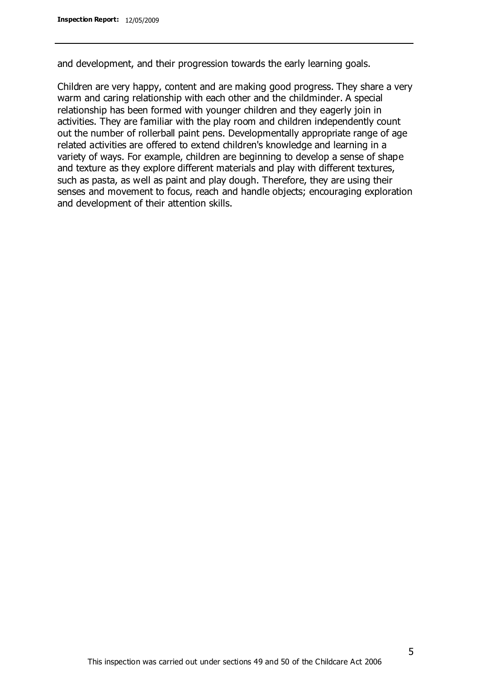and development, and their progression towards the early learning goals.

Children are very happy, content and are making good progress. They share a very warm and caring relationship with each other and the childminder. A special relationship has been formed with younger children and they eagerly join in activities. They are familiar with the play room and children independently count out the number of rollerball paint pens. Developmentally appropriate range of age related activities are offered to extend children's knowledge and learning in a variety of ways. For example, children are beginning to develop a sense of shape and texture as they explore different materials and play with different textures, such as pasta, as well as paint and play dough. Therefore, they are using their senses and movement to focus, reach and handle objects; encouraging exploration and development of their attention skills.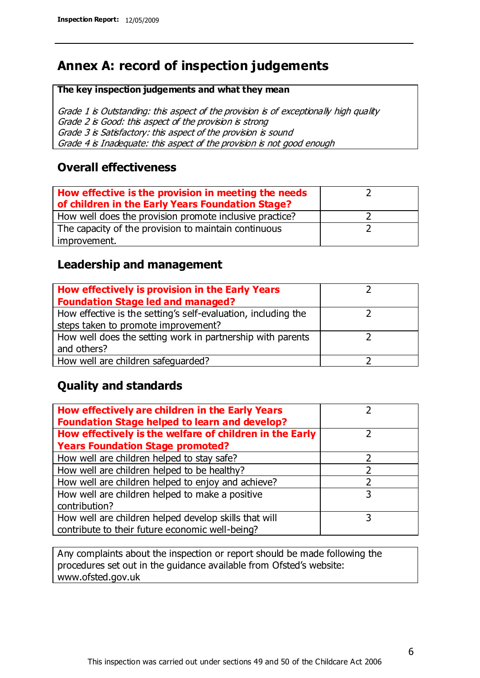# **Annex A: record of inspection judgements**

#### **The key inspection judgements and what they mean**

Grade 1 is Outstanding: this aspect of the provision is of exceptionally high quality Grade 2 is Good: this aspect of the provision is strong Grade 3 is Satisfactory: this aspect of the provision is sound Grade 4 is Inadequate: this aspect of the provision is not good enough

#### **Overall effectiveness**

| How effective is the provision in meeting the needs<br>of children in the Early Years Foundation Stage? |  |
|---------------------------------------------------------------------------------------------------------|--|
| How well does the provision promote inclusive practice?                                                 |  |
| The capacity of the provision to maintain continuous                                                    |  |
| improvement.                                                                                            |  |

#### **Leadership and management**

| How effectively is provision in the Early Years               |  |
|---------------------------------------------------------------|--|
| <b>Foundation Stage led and managed?</b>                      |  |
| How effective is the setting's self-evaluation, including the |  |
| steps taken to promote improvement?                           |  |
| How well does the setting work in partnership with parents    |  |
| and others?                                                   |  |
| How well are children safequarded?                            |  |

#### **Quality and standards**

| How effectively are children in the Early Years<br><b>Foundation Stage helped to learn and develop?</b> |   |
|---------------------------------------------------------------------------------------------------------|---|
| How effectively is the welfare of children in the Early                                                 | ר |
| <b>Years Foundation Stage promoted?</b>                                                                 |   |
| How well are children helped to stay safe?                                                              |   |
| How well are children helped to be healthy?                                                             |   |
| How well are children helped to enjoy and achieve?                                                      | 2 |
| How well are children helped to make a positive                                                         | 3 |
| contribution?                                                                                           |   |
| How well are children helped develop skills that will                                                   |   |
| contribute to their future economic well-being?                                                         |   |

Any complaints about the inspection or report should be made following the procedures set out in the guidance available from Ofsted's website: www.ofsted.gov.uk